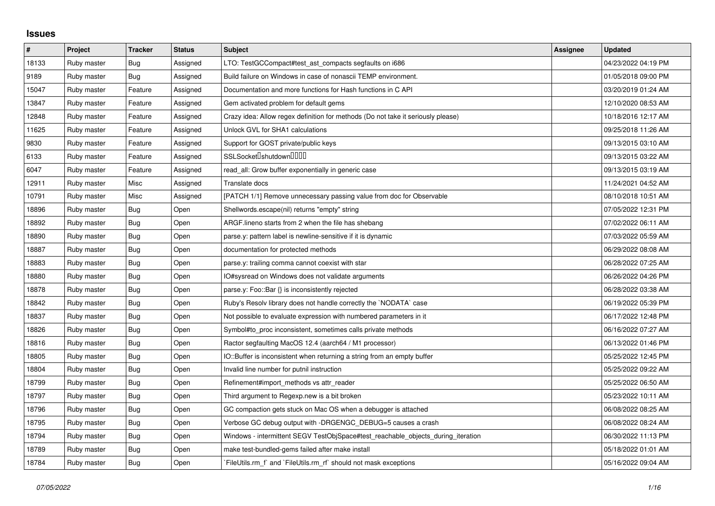## **Issues**

| $\sharp$ | Project     | <b>Tracker</b> | <b>Status</b> | <b>Subject</b>                                                                   | Assignee | <b>Updated</b>      |
|----------|-------------|----------------|---------------|----------------------------------------------------------------------------------|----------|---------------------|
| 18133    | Ruby master | Bug            | Assigned      | LTO: TestGCCompact#test ast compacts segfaults on i686                           |          | 04/23/2022 04:19 PM |
| 9189     | Ruby master | Bug            | Assigned      | Build failure on Windows in case of nonascii TEMP environment.                   |          | 01/05/2018 09:00 PM |
| 15047    | Ruby master | Feature        | Assigned      | Documentation and more functions for Hash functions in C API                     |          | 03/20/2019 01:24 AM |
| 13847    | Ruby master | Feature        | Assigned      | Gem activated problem for default gems                                           |          | 12/10/2020 08:53 AM |
| 12848    | Ruby master | Feature        | Assigned      | Crazy idea: Allow regex definition for methods (Do not take it seriously please) |          | 10/18/2016 12:17 AM |
| 11625    | Ruby master | Feature        | Assigned      | Unlock GVL for SHA1 calculations                                                 |          | 09/25/2018 11:26 AM |
| 9830     | Ruby master | Feature        | Assigned      | Support for GOST private/public keys                                             |          | 09/13/2015 03:10 AM |
| 6133     | Ruby master | Feature        | Assigned      | SSLSocket <sup>[</sup> shutdown <sup>[11]</sup>                                  |          | 09/13/2015 03:22 AM |
| 6047     | Ruby master | Feature        | Assigned      | read all: Grow buffer exponentially in generic case                              |          | 09/13/2015 03:19 AM |
| 12911    | Ruby master | Misc           | Assigned      | Translate docs                                                                   |          | 11/24/2021 04:52 AM |
| 10791    | Ruby master | Misc           | Assigned      | [PATCH 1/1] Remove unnecessary passing value from doc for Observable             |          | 08/10/2018 10:51 AM |
| 18896    | Ruby master | <b>Bug</b>     | Open          | Shellwords.escape(nil) returns "empty" string                                    |          | 07/05/2022 12:31 PM |
| 18892    | Ruby master | Bug            | Open          | ARGF. lineno starts from 2 when the file has shebang                             |          | 07/02/2022 06:11 AM |
| 18890    | Ruby master | Bug            | Open          | parse.y: pattern label is newline-sensitive if it is dynamic                     |          | 07/03/2022 05:59 AM |
| 18887    | Ruby master | Bug            | Open          | documentation for protected methods                                              |          | 06/29/2022 08:08 AM |
| 18883    | Ruby master | Bug            | Open          | parse.y: trailing comma cannot coexist with star                                 |          | 06/28/2022 07:25 AM |
| 18880    | Ruby master | <b>Bug</b>     | Open          | IO#sysread on Windows does not validate arguments                                |          | 06/26/2022 04:26 PM |
| 18878    | Ruby master | Bug            | Open          | parse.y: Foo::Bar {} is inconsistently rejected                                  |          | 06/28/2022 03:38 AM |
| 18842    | Ruby master | <b>Bug</b>     | Open          | Ruby's Resolv library does not handle correctly the `NODATA` case                |          | 06/19/2022 05:39 PM |
| 18837    | Ruby master | Bug            | Open          | Not possible to evaluate expression with numbered parameters in it               |          | 06/17/2022 12:48 PM |
| 18826    | Ruby master | <b>Bug</b>     | Open          | Symbol#to_proc inconsistent, sometimes calls private methods                     |          | 06/16/2022 07:27 AM |
| 18816    | Ruby master | <b>Bug</b>     | Open          | Ractor segfaulting MacOS 12.4 (aarch64 / M1 processor)                           |          | 06/13/2022 01:46 PM |
| 18805    | Ruby master | Bug            | Open          | IO::Buffer is inconsistent when returning a string from an empty buffer          |          | 05/25/2022 12:45 PM |
| 18804    | Ruby master | Bug            | Open          | Invalid line number for putnil instruction                                       |          | 05/25/2022 09:22 AM |
| 18799    | Ruby master | <b>Bug</b>     | Open          | Refinement#import_methods vs attr_reader                                         |          | 05/25/2022 06:50 AM |
| 18797    | Ruby master | Bug            | Open          | Third argument to Regexp.new is a bit broken                                     |          | 05/23/2022 10:11 AM |
| 18796    | Ruby master | Bug            | Open          | GC compaction gets stuck on Mac OS when a debugger is attached                   |          | 06/08/2022 08:25 AM |
| 18795    | Ruby master | Bug            | Open          | Verbose GC debug output with -DRGENGC_DEBUG=5 causes a crash                     |          | 06/08/2022 08:24 AM |
| 18794    | Ruby master | Bug            | Open          | Windows - intermittent SEGV TestObjSpace#test reachable objects during iteration |          | 06/30/2022 11:13 PM |
| 18789    | Ruby master | <b>Bug</b>     | Open          | make test-bundled-gems failed after make install                                 |          | 05/18/2022 01:01 AM |
| 18784    | Ruby master | Bug            | Open          | FileUtils.rm f and FileUtils.rm rf should not mask exceptions                    |          | 05/16/2022 09:04 AM |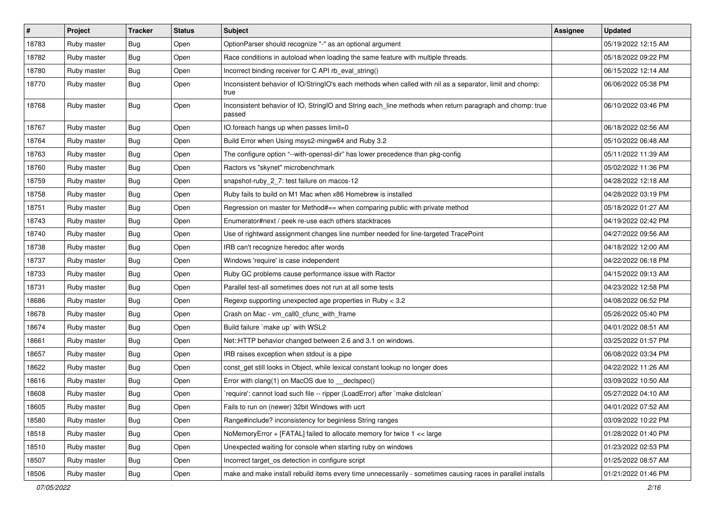| $\vert$ # | Project     | <b>Tracker</b> | <b>Status</b> | <b>Subject</b>                                                                                                     | Assignee | <b>Updated</b>      |
|-----------|-------------|----------------|---------------|--------------------------------------------------------------------------------------------------------------------|----------|---------------------|
| 18783     | Ruby master | Bug            | Open          | OptionParser should recognize "-" as an optional argument                                                          |          | 05/19/2022 12:15 AM |
| 18782     | Ruby master | Bug            | Open          | Race conditions in autoload when loading the same feature with multiple threads.                                   |          | 05/18/2022 09:22 PM |
| 18780     | Ruby master | <b>Bug</b>     | Open          | Incorrect binding receiver for C API rb_eval_string()                                                              |          | 06/15/2022 12:14 AM |
| 18770     | Ruby master | <b>Bug</b>     | Open          | Inconsistent behavior of IO/StringIO's each methods when called with nil as a separator, limit and chomp:<br>true  |          | 06/06/2022 05:38 PM |
| 18768     | Ruby master | Bug            | Open          | Inconsistent behavior of IO, StringIO and String each_line methods when return paragraph and chomp: true<br>passed |          | 06/10/2022 03:46 PM |
| 18767     | Ruby master | <b>Bug</b>     | Open          | IO.foreach hangs up when passes limit=0                                                                            |          | 06/18/2022 02:56 AM |
| 18764     | Ruby master | <b>Bug</b>     | Open          | Build Error when Using msys2-mingw64 and Ruby 3.2                                                                  |          | 05/10/2022 06:48 AM |
| 18763     | Ruby master | Bug            | Open          | The configure option "--with-openssl-dir" has lower precedence than pkg-config                                     |          | 05/11/2022 11:39 AM |
| 18760     | Ruby master | Bug            | Open          | Ractors vs "skynet" microbenchmark                                                                                 |          | 05/02/2022 11:36 PM |
| 18759     | Ruby master | <b>Bug</b>     | Open          | snapshot-ruby_2_7: test failure on macos-12                                                                        |          | 04/28/2022 12:18 AM |
| 18758     | Ruby master | <b>Bug</b>     | Open          | Ruby fails to build on M1 Mac when x86 Homebrew is installed                                                       |          | 04/28/2022 03:19 PM |
| 18751     | Ruby master | <b>Bug</b>     | Open          | Regression on master for Method#== when comparing public with private method                                       |          | 05/18/2022 01:27 AM |
| 18743     | Ruby master | Bug            | Open          | Enumerator#next / peek re-use each others stacktraces                                                              |          | 04/19/2022 02:42 PM |
| 18740     | Ruby master | <b>Bug</b>     | Open          | Use of rightward assignment changes line number needed for line-targeted TracePoint                                |          | 04/27/2022 09:56 AM |
| 18738     | Ruby master | Bug            | Open          | IRB can't recognize heredoc after words                                                                            |          | 04/18/2022 12:00 AM |
| 18737     | Ruby master | Bug            | Open          | Windows 'require' is case independent                                                                              |          | 04/22/2022 06:18 PM |
| 18733     | Ruby master | Bug            | Open          | Ruby GC problems cause performance issue with Ractor                                                               |          | 04/15/2022 09:13 AM |
| 18731     | Ruby master | Bug            | Open          | Parallel test-all sometimes does not run at all some tests                                                         |          | 04/23/2022 12:58 PM |
| 18686     | Ruby master | Bug            | Open          | Regexp supporting unexpected age properties in Ruby < 3.2                                                          |          | 04/08/2022 06:52 PM |
| 18678     | Ruby master | <b>Bug</b>     | Open          | Crash on Mac - vm_call0_cfunc_with_frame                                                                           |          | 05/26/2022 05:40 PM |
| 18674     | Ruby master | Bug            | Open          | Build failure `make up` with WSL2                                                                                  |          | 04/01/2022 08:51 AM |
| 18661     | Ruby master | <b>Bug</b>     | Open          | Net::HTTP behavior changed between 2.6 and 3.1 on windows.                                                         |          | 03/25/2022 01:57 PM |
| 18657     | Ruby master | <b>Bug</b>     | Open          | IRB raises exception when stdout is a pipe                                                                         |          | 06/08/2022 03:34 PM |
| 18622     | Ruby master | <b>Bug</b>     | Open          | const_get still looks in Object, while lexical constant lookup no longer does                                      |          | 04/22/2022 11:26 AM |
| 18616     | Ruby master | <b>Bug</b>     | Open          | Error with clang(1) on MacOS due to __declspec()                                                                   |          | 03/09/2022 10:50 AM |
| 18608     | Ruby master | Bug            | Open          | 'require': cannot load such file -- ripper (LoadError) after 'make distclean'                                      |          | 05/27/2022 04:10 AM |
| 18605     | Ruby master | Bug            | Open          | Fails to run on (newer) 32bit Windows with ucrt                                                                    |          | 04/01/2022 07:52 AM |
| 18580     | Ruby master | <b>Bug</b>     | Open          | Range#include? inconsistency for beginless String ranges                                                           |          | 03/09/2022 10:22 PM |
| 18518     | Ruby master | Bug            | Open          | NoMemoryError + [FATAL] failed to allocate memory for twice 1 << large                                             |          | 01/28/2022 01:40 PM |
| 18510     | Ruby master | <b>Bug</b>     | Open          | Unexpected waiting for console when starting ruby on windows                                                       |          | 01/23/2022 02:53 PM |
| 18507     | Ruby master | <b>Bug</b>     | Open          | Incorrect target_os detection in configure script                                                                  |          | 01/25/2022 08:57 AM |
| 18506     | Ruby master | Bug            | Open          | make and make install rebuild items every time unnecessarily - sometimes causing races in parallel installs        |          | 01/21/2022 01:46 PM |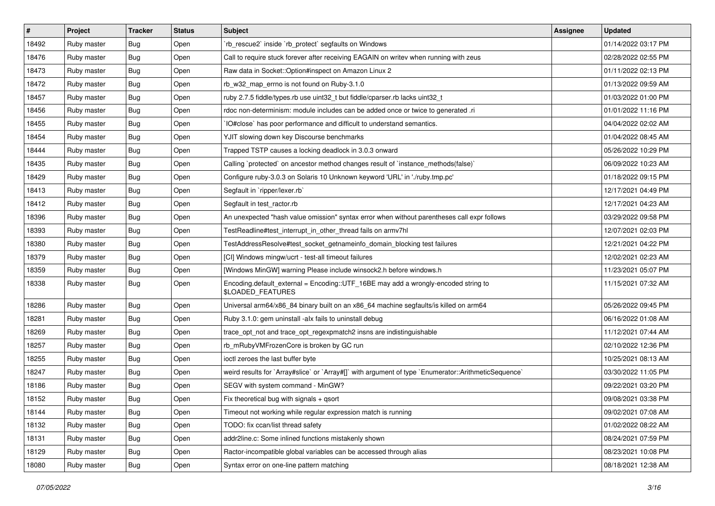| #     | Project     | <b>Tracker</b> | <b>Status</b> | <b>Subject</b>                                                                                          | <b>Assignee</b> | <b>Updated</b>      |
|-------|-------------|----------------|---------------|---------------------------------------------------------------------------------------------------------|-----------------|---------------------|
| 18492 | Ruby master | <b>Bug</b>     | Open          | 'rb rescue2' inside 'rb protect' segfaults on Windows                                                   |                 | 01/14/2022 03:17 PM |
| 18476 | Ruby master | Bug            | Open          | Call to require stuck forever after receiving EAGAIN on writev when running with zeus                   |                 | 02/28/2022 02:55 PM |
| 18473 | Ruby master | <b>Bug</b>     | Open          | Raw data in Socket::Option#inspect on Amazon Linux 2                                                    |                 | 01/11/2022 02:13 PM |
| 18472 | Ruby master | <b>Bug</b>     | Open          | rb_w32_map_errno is not found on Ruby-3.1.0                                                             |                 | 01/13/2022 09:59 AM |
| 18457 | Ruby master | <b>Bug</b>     | Open          | ruby 2.7.5 fiddle/types.rb use uint32_t but fiddle/cparser.rb lacks uint32_t                            |                 | 01/03/2022 01:00 PM |
| 18456 | Ruby master | <b>Bug</b>     | Open          | rdoc non-determinism: module includes can be added once or twice to generated .ri                       |                 | 01/01/2022 11:16 PM |
| 18455 | Ruby master | Bug            | Open          | IO#close` has poor performance and difficult to understand semantics.                                   |                 | 04/04/2022 02:02 AM |
| 18454 | Ruby master | <b>Bug</b>     | Open          | YJIT slowing down key Discourse benchmarks                                                              |                 | 01/04/2022 08:45 AM |
| 18444 | Ruby master | Bug            | Open          | Trapped TSTP causes a locking deadlock in 3.0.3 onward                                                  |                 | 05/26/2022 10:29 PM |
| 18435 | Ruby master | Bug            | Open          | Calling `protected` on ancestor method changes result of `instance_methods(false)`                      |                 | 06/09/2022 10:23 AM |
| 18429 | Ruby master | <b>Bug</b>     | Open          | Configure ruby-3.0.3 on Solaris 10 Unknown keyword 'URL' in './ruby.tmp.pc'                             |                 | 01/18/2022 09:15 PM |
| 18413 | Ruby master | <b>Bug</b>     | Open          | Segfault in `ripper/lexer.rb`                                                                           |                 | 12/17/2021 04:49 PM |
| 18412 | Ruby master | <b>Bug</b>     | Open          | Segfault in test_ractor.rb                                                                              |                 | 12/17/2021 04:23 AM |
| 18396 | Ruby master | <b>Bug</b>     | Open          | An unexpected "hash value omission" syntax error when without parentheses call expr follows             |                 | 03/29/2022 09:58 PM |
| 18393 | Ruby master | <b>Bug</b>     | Open          | TestReadline#test_interrupt_in_other_thread fails on armv7hl                                            |                 | 12/07/2021 02:03 PM |
| 18380 | Ruby master | <b>Bug</b>     | Open          | TestAddressResolve#test_socket_getnameinfo_domain_blocking test failures                                |                 | 12/21/2021 04:22 PM |
| 18379 | Ruby master | <b>Bug</b>     | Open          | [CI] Windows mingw/ucrt - test-all timeout failures                                                     |                 | 12/02/2021 02:23 AM |
| 18359 | Ruby master | <b>Bug</b>     | Open          | [Windows MinGW] warning Please include winsock2.h before windows.h                                      |                 | 11/23/2021 05:07 PM |
| 18338 | Ruby master | <b>Bug</b>     | Open          | Encoding.default_external = Encoding::UTF_16BE may add a wrongly-encoded string to<br>\$LOADED_FEATURES |                 | 11/15/2021 07:32 AM |
| 18286 | Ruby master | <b>Bug</b>     | Open          | Universal arm64/x86_84 binary built on an x86_64 machine segfaults/is killed on arm64                   |                 | 05/26/2022 09:45 PM |
| 18281 | Ruby master | <b>Bug</b>     | Open          | Ruby 3.1.0: gem uninstall -alx fails to uninstall debug                                                 |                 | 06/16/2022 01:08 AM |
| 18269 | Ruby master | <b>Bug</b>     | Open          | trace_opt_not and trace_opt_regexpmatch2 insns are indistinguishable                                    |                 | 11/12/2021 07:44 AM |
| 18257 | Ruby master | <b>Bug</b>     | Open          | rb_mRubyVMFrozenCore is broken by GC run                                                                |                 | 02/10/2022 12:36 PM |
| 18255 | Ruby master | <b>Bug</b>     | Open          | ioctl zeroes the last buffer byte                                                                       |                 | 10/25/2021 08:13 AM |
| 18247 | Ruby master | <b>Bug</b>     | Open          | weird results for `Array#slice` or `Array#[]` with argument of type `Enumerator::ArithmeticSequence`    |                 | 03/30/2022 11:05 PM |
| 18186 | Ruby master | <b>Bug</b>     | Open          | SEGV with system command - MinGW?                                                                       |                 | 09/22/2021 03:20 PM |
| 18152 | Ruby master | <b>Bug</b>     | Open          | Fix theoretical bug with signals $+$ qsort                                                              |                 | 09/08/2021 03:38 PM |
| 18144 | Ruby master | <b>Bug</b>     | Open          | Timeout not working while regular expression match is running                                           |                 | 09/02/2021 07:08 AM |
| 18132 | Ruby master | <b>Bug</b>     | Open          | TODO: fix ccan/list thread safety                                                                       |                 | 01/02/2022 08:22 AM |
| 18131 | Ruby master | <b>Bug</b>     | Open          | addr2line.c: Some inlined functions mistakenly shown                                                    |                 | 08/24/2021 07:59 PM |
| 18129 | Ruby master | Bug            | Open          | Ractor-incompatible global variables can be accessed through alias                                      |                 | 08/23/2021 10:08 PM |
| 18080 | Ruby master | Bug            | Open          | Syntax error on one-line pattern matching                                                               |                 | 08/18/2021 12:38 AM |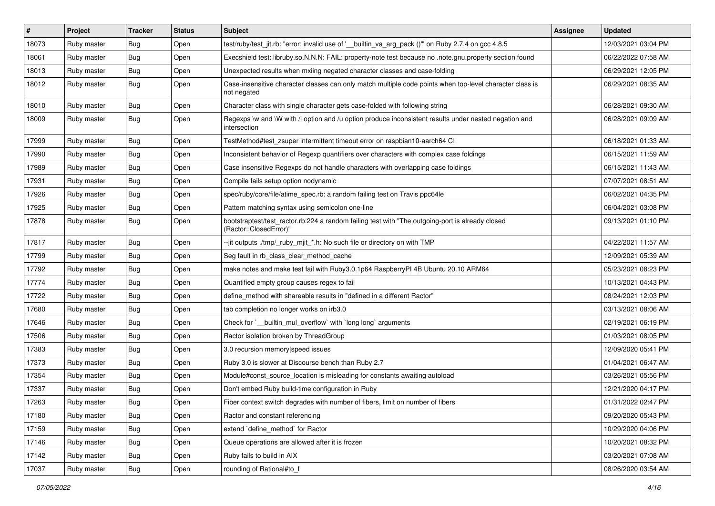| $\vert$ # | Project     | <b>Tracker</b> | <b>Status</b> | <b>Subject</b>                                                                                                             | <b>Assignee</b> | <b>Updated</b>      |
|-----------|-------------|----------------|---------------|----------------------------------------------------------------------------------------------------------------------------|-----------------|---------------------|
| 18073     | Ruby master | Bug            | Open          | test/ruby/test jit.rb: "error: invalid use of ' builtin va arg pack ()" on Ruby 2.7.4 on gcc 4.8.5                         |                 | 12/03/2021 03:04 PM |
| 18061     | Ruby master | Bug            | Open          | Execshield test: libruby.so.N.N.N: FAIL: property-note test because no .note.gnu.property section found                    |                 | 06/22/2022 07:58 AM |
| 18013     | Ruby master | Bug            | Open          | Unexpected results when mxiing negated character classes and case-folding                                                  |                 | 06/29/2021 12:05 PM |
| 18012     | Ruby master | Bug            | Open          | Case-insensitive character classes can only match multiple code points when top-level character class is<br>not negated    |                 | 06/29/2021 08:35 AM |
| 18010     | Ruby master | <b>Bug</b>     | Open          | Character class with single character gets case-folded with following string                                               |                 | 06/28/2021 09:30 AM |
| 18009     | Ruby master | Bug            | Open          | Regexps \w and \W with /i option and /u option produce inconsistent results under nested negation and<br>intersection      |                 | 06/28/2021 09:09 AM |
| 17999     | Ruby master | Bug            | Open          | TestMethod#test zsuper intermittent timeout error on raspbian10-aarch64 Cl                                                 |                 | 06/18/2021 01:33 AM |
| 17990     | Ruby master | Bug            | Open          | Inconsistent behavior of Regexp quantifiers over characters with complex case foldings                                     |                 | 06/15/2021 11:59 AM |
| 17989     | Ruby master | Bug            | Open          | Case insensitive Regexps do not handle characters with overlapping case foldings                                           |                 | 06/15/2021 11:43 AM |
| 17931     | Ruby master | Bug            | Open          | Compile fails setup option nodynamic                                                                                       |                 | 07/07/2021 08:51 AM |
| 17926     | Ruby master | <b>Bug</b>     | Open          | spec/ruby/core/file/atime_spec.rb: a random failing test on Travis ppc64le                                                 |                 | 06/02/2021 04:35 PM |
| 17925     | Ruby master | Bug            | Open          | Pattern matching syntax using semicolon one-line                                                                           |                 | 06/04/2021 03:08 PM |
| 17878     | Ruby master | Bug            | Open          | bootstraptest/test_ractor.rb:224 a random failing test with "The outgoing-port is already closed<br>(Ractor::ClosedError)" |                 | 09/13/2021 01:10 PM |
| 17817     | Ruby master | <b>Bug</b>     | Open          | -jit outputs ./tmp/_ruby_mjit_*.h: No such file or directory on with TMP                                                   |                 | 04/22/2021 11:57 AM |
| 17799     | Ruby master | Bug            | Open          | Seg fault in rb_class_clear_method_cache                                                                                   |                 | 12/09/2021 05:39 AM |
| 17792     | Ruby master | Bug            | Open          | make notes and make test fail with Ruby 3.0.1p64 Raspberry PI 4B Ubuntu 20.10 ARM64                                        |                 | 05/23/2021 08:23 PM |
| 17774     | Ruby master | Bug            | Open          | Quantified empty group causes regex to fail                                                                                |                 | 10/13/2021 04:43 PM |
| 17722     | Ruby master | <b>Bug</b>     | Open          | define_method with shareable results in "defined in a different Ractor"                                                    |                 | 08/24/2021 12:03 PM |
| 17680     | Ruby master | <b>Bug</b>     | Open          | tab completion no longer works on irb3.0                                                                                   |                 | 03/13/2021 08:06 AM |
| 17646     | Ruby master | Bug            | Open          | Check for `__builtin_mul_overflow` with `long long` arguments                                                              |                 | 02/19/2021 06:19 PM |
| 17506     | Ruby master | Bug            | Open          | Ractor isolation broken by ThreadGroup                                                                                     |                 | 01/03/2021 08:05 PM |
| 17383     | Ruby master | Bug            | Open          | 3.0 recursion memory speed issues                                                                                          |                 | 12/09/2020 05:41 PM |
| 17373     | Ruby master | <b>Bug</b>     | Open          | Ruby 3.0 is slower at Discourse bench than Ruby 2.7                                                                        |                 | 01/04/2021 06:47 AM |
| 17354     | Ruby master | Bug            | Open          | Module#const source location is misleading for constants awaiting autoload                                                 |                 | 03/26/2021 05:56 PM |
| 17337     | Ruby master | Bug            | Open          | Don't embed Ruby build-time configuration in Ruby                                                                          |                 | 12/21/2020 04:17 PM |
| 17263     | Ruby master | Bug            | Open          | Fiber context switch degrades with number of fibers, limit on number of fibers                                             |                 | 01/31/2022 02:47 PM |
| 17180     | Ruby master | Bug            | Open          | Ractor and constant referencing                                                                                            |                 | 09/20/2020 05:43 PM |
| 17159     | Ruby master | Bug            | Open          | extend 'define_method' for Ractor                                                                                          |                 | 10/29/2020 04:06 PM |
| 17146     | Ruby master | <b>Bug</b>     | Open          | Queue operations are allowed after it is frozen                                                                            |                 | 10/20/2021 08:32 PM |
| 17142     | Ruby master | <b>Bug</b>     | Open          | Ruby fails to build in AIX                                                                                                 |                 | 03/20/2021 07:08 AM |
| 17037     | Ruby master | Bug            | Open          | rounding of Rational#to_f                                                                                                  |                 | 08/26/2020 03:54 AM |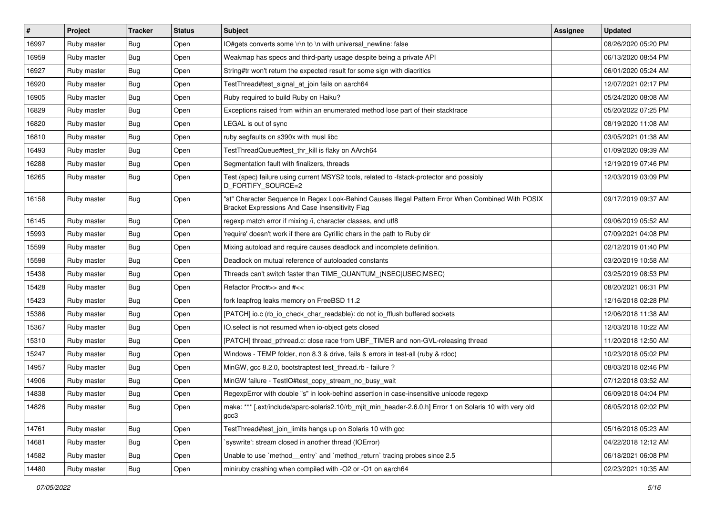| $\vert$ # | Project     | <b>Tracker</b> | <b>Status</b> | <b>Subject</b>                                                                                                                                        | Assignee | <b>Updated</b>      |
|-----------|-------------|----------------|---------------|-------------------------------------------------------------------------------------------------------------------------------------------------------|----------|---------------------|
| 16997     | Ruby master | Bug            | Open          | IO#gets converts some \r\n to \n with universal_newline: false                                                                                        |          | 08/26/2020 05:20 PM |
| 16959     | Ruby master | <b>Bug</b>     | Open          | Weakmap has specs and third-party usage despite being a private API                                                                                   |          | 06/13/2020 08:54 PM |
| 16927     | Ruby master | Bug            | Open          | String#tr won't return the expected result for some sign with diacritics                                                                              |          | 06/01/2020 05:24 AM |
| 16920     | Ruby master | Bug            | Open          | TestThread#test_signal_at_join fails on aarch64                                                                                                       |          | 12/07/2021 02:17 PM |
| 16905     | Ruby master | Bug            | Open          | Ruby required to build Ruby on Haiku?                                                                                                                 |          | 05/24/2020 08:08 AM |
| 16829     | Ruby master | <b>Bug</b>     | Open          | Exceptions raised from within an enumerated method lose part of their stacktrace                                                                      |          | 05/20/2022 07:25 PM |
| 16820     | Ruby master | Bug            | Open          | LEGAL is out of sync                                                                                                                                  |          | 08/19/2020 11:08 AM |
| 16810     | Ruby master | <b>Bug</b>     | Open          | ruby segfaults on s390x with musl libc                                                                                                                |          | 03/05/2021 01:38 AM |
| 16493     | Ruby master | <b>Bug</b>     | Open          | TestThreadQueue#test_thr_kill is flaky on AArch64                                                                                                     |          | 01/09/2020 09:39 AM |
| 16288     | Ruby master | <b>Bug</b>     | Open          | Segmentation fault with finalizers, threads                                                                                                           |          | 12/19/2019 07:46 PM |
| 16265     | Ruby master | <b>Bug</b>     | Open          | Test (spec) failure using current MSYS2 tools, related to -fstack-protector and possibly<br>D_FORTIFY_SOURCE=2                                        |          | 12/03/2019 03:09 PM |
| 16158     | Ruby master | Bug            | Open          | 'st" Character Sequence In Regex Look-Behind Causes Illegal Pattern Error When Combined With POSIX<br>Bracket Expressions And Case Insensitivity Flag |          | 09/17/2019 09:37 AM |
| 16145     | Ruby master | Bug            | Open          | regexp match error if mixing /i, character classes, and utf8                                                                                          |          | 09/06/2019 05:52 AM |
| 15993     | Ruby master | Bug            | Open          | 'require' doesn't work if there are Cyrillic chars in the path to Ruby dir                                                                            |          | 07/09/2021 04:08 PM |
| 15599     | Ruby master | <b>Bug</b>     | Open          | Mixing autoload and require causes deadlock and incomplete definition.                                                                                |          | 02/12/2019 01:40 PM |
| 15598     | Ruby master | <b>Bug</b>     | Open          | Deadlock on mutual reference of autoloaded constants                                                                                                  |          | 03/20/2019 10:58 AM |
| 15438     | Ruby master | Bug            | Open          | Threads can't switch faster than TIME_QUANTUM_(NSEC USEC MSEC)                                                                                        |          | 03/25/2019 08:53 PM |
| 15428     | Ruby master | Bug            | Open          | Refactor Proc#>> and #<<                                                                                                                              |          | 08/20/2021 06:31 PM |
| 15423     | Ruby master | <b>Bug</b>     | Open          | fork leapfrog leaks memory on FreeBSD 11.2                                                                                                            |          | 12/16/2018 02:28 PM |
| 15386     | Ruby master | Bug            | Open          | [PATCH] io.c (rb_io_check_char_readable): do not io_fflush buffered sockets                                                                           |          | 12/06/2018 11:38 AM |
| 15367     | Ruby master | <b>Bug</b>     | Open          | IO.select is not resumed when io-object gets closed                                                                                                   |          | 12/03/2018 10:22 AM |
| 15310     | Ruby master | Bug            | Open          | [PATCH] thread_pthread.c: close race from UBF_TIMER and non-GVL-releasing thread                                                                      |          | 11/20/2018 12:50 AM |
| 15247     | Ruby master | <b>Bug</b>     | Open          | Windows - TEMP folder, non 8.3 & drive, fails & errors in test-all (ruby & rdoc)                                                                      |          | 10/23/2018 05:02 PM |
| 14957     | Ruby master | Bug            | Open          | MinGW, gcc 8.2.0, bootstraptest test_thread.rb - failure ?                                                                                            |          | 08/03/2018 02:46 PM |
| 14906     | Ruby master | <b>Bug</b>     | Open          | MinGW failure - TestIO#test_copy_stream_no_busy_wait                                                                                                  |          | 07/12/2018 03:52 AM |
| 14838     | Ruby master | Bug            | Open          | RegexpError with double "s" in look-behind assertion in case-insensitive unicode regexp                                                               |          | 06/09/2018 04:04 PM |
| 14826     | Ruby master | <b>Bug</b>     | Open          | make: *** [.ext/include/sparc-solaris2.10/rb_mjit_min_header-2.6.0.h] Error 1 on Solaris 10 with very old<br>gcc3                                     |          | 06/05/2018 02:02 PM |
| 14761     | Ruby master | <b>Bug</b>     | Open          | TestThread#test_join_limits hangs up on Solaris 10 with gcc                                                                                           |          | 05/16/2018 05:23 AM |
| 14681     | Ruby master | <b>Bug</b>     | Open          | syswrite': stream closed in another thread (IOError)                                                                                                  |          | 04/22/2018 12:12 AM |
| 14582     | Ruby master | <b>Bug</b>     | Open          | Unable to use `method entry` and `method return` tracing probes since 2.5                                                                             |          | 06/18/2021 06:08 PM |
| 14480     | Ruby master | Bug            | Open          | miniruby crashing when compiled with -O2 or -O1 on aarch64                                                                                            |          | 02/23/2021 10:35 AM |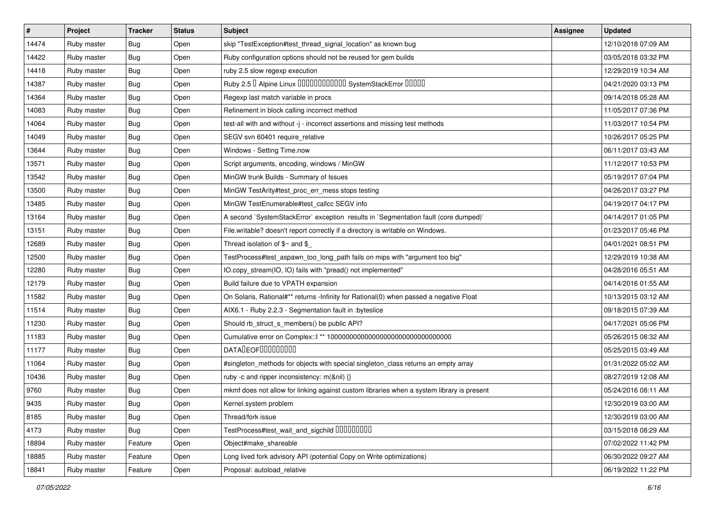| #     | Project     | <b>Tracker</b>   | <b>Status</b> | <b>Subject</b>                                                                            | <b>Assignee</b> | <b>Updated</b>      |
|-------|-------------|------------------|---------------|-------------------------------------------------------------------------------------------|-----------------|---------------------|
| 14474 | Ruby master | Bug              | Open          | skip "TestException#test_thread_signal_location" as known bug                             |                 | 12/10/2018 07:09 AM |
| 14422 | Ruby master | <b>Bug</b>       | Open          | Ruby configuration options should not be reused for gem builds                            |                 | 03/05/2018 03:32 PM |
| 14418 | Ruby master | <b>Bug</b>       | Open          | ruby 2.5 slow regexp execution                                                            |                 | 12/29/2019 10:34 AM |
| 14387 | Ruby master | Bug              | Open          | Ruby 2.5 <sup>D</sup> Alpine Linux 000000000000 SystemStackError 00000                    |                 | 04/21/2020 03:13 PM |
| 14364 | Ruby master | <b>Bug</b>       | Open          | Regexp last match variable in procs                                                       |                 | 09/14/2018 05:28 AM |
| 14083 | Ruby master | <b>Bug</b>       | Open          | Refinement in block calling incorrect method                                              |                 | 11/05/2017 07:36 PM |
| 14064 | Ruby master | Bug              | Open          | test-all with and without -j - incorrect assertions and missing test methods              |                 | 11/03/2017 10:54 PM |
| 14049 | Ruby master | Bug              | Open          | SEGV svn 60401 require_relative                                                           |                 | 10/26/2017 05:25 PM |
| 13644 | Ruby master | <b>Bug</b>       | Open          | Windows - Setting Time.now                                                                |                 | 06/11/2017 03:43 AM |
| 13571 | Ruby master | <b>Bug</b>       | Open          | Script arguments, encoding, windows / MinGW                                               |                 | 11/12/2017 10:53 PM |
| 13542 | Ruby master | <b>Bug</b>       | Open          | MinGW trunk Builds - Summary of Issues                                                    |                 | 05/19/2017 07:04 PM |
| 13500 | Ruby master | <b>Bug</b>       | Open          | MinGW TestArity#test_proc_err_mess stops testing                                          |                 | 04/26/2017 03:27 PM |
| 13485 | Ruby master | <b>Bug</b>       | Open          | MinGW TestEnumerable#test_callcc SEGV info                                                |                 | 04/19/2017 04:17 PM |
| 13164 | Ruby master | Bug              | Open          | A second `SystemStackError` exception results in `Segmentation fault (core dumped)`       |                 | 04/14/2017 01:05 PM |
| 13151 | Ruby master | <b>Bug</b>       | Open          | File.writable? doesn't report correctly if a directory is writable on Windows.            |                 | 01/23/2017 05:46 PM |
| 12689 | Ruby master | Bug              | Open          | Thread isolation of $$~$ and \$                                                           |                 | 04/01/2021 08:51 PM |
| 12500 | Ruby master | Bug              | Open          | TestProcess#test_aspawn_too_long_path fails on mips with "argument too big"               |                 | 12/29/2019 10:38 AM |
| 12280 | Ruby master | <b>Bug</b>       | Open          | IO.copy_stream(IO, IO) fails with "pread() not implemented"                               |                 | 04/28/2016 05:51 AM |
| 12179 | Ruby master | Bug              | Open          | Build failure due to VPATH expansion                                                      |                 | 04/14/2016 01:55 AM |
| 11582 | Ruby master | <b>Bug</b>       | Open          | On Solaris, Rational#** returns -Infinity for Rational(0) when passed a negative Float    |                 | 10/13/2015 03:12 AM |
| 11514 | Ruby master | Bug              | Open          | AIX6.1 - Ruby 2.2.3 - Segmentation fault in :byteslice                                    |                 | 09/18/2015 07:39 AM |
| 11230 | Ruby master | <b>Bug</b>       | Open          | Should rb_struct_s_members() be public API?                                               |                 | 04/17/2021 05:06 PM |
| 11183 | Ruby master | <b>Bug</b>       | Open          | Cumulative error on Complex::   ** 100000000000000000000000000000000                      |                 | 05/26/2015 08:32 AM |
| 11177 | Ruby master | Bug              | Open          | DATALEOFILLLLLLLLLL                                                                       |                 | 05/25/2015 03:49 AM |
| 11064 | Ruby master | Bug              | Open          | #singleton_methods for objects with special singleton_class returns an empty array        |                 | 01/31/2022 05:02 AM |
| 10436 | Ruby master | Bug              | Open          | ruby -c and ripper inconsistency: m(&nil) {}                                              |                 | 08/27/2019 12:08 AM |
| 9760  | Ruby master | Bug              | Open          | mkmf does not allow for linking against custom libraries when a system library is present |                 | 05/24/2016 08:11 AM |
| 9435  | Ruby master | <sub>I</sub> Bug | Open          | Kernel.system problem                                                                     |                 | 12/30/2019 03:00 AM |
| 8185  | Ruby master | <b>Bug</b>       | Open          | Thread/fork issue                                                                         |                 | 12/30/2019 03:00 AM |
| 4173  | Ruby master | <b>Bug</b>       | Open          | TestProcess#test_wait_and_sigchild DDDDDDDD                                               |                 | 03/15/2018 08:29 AM |
| 18894 | Ruby master | Feature          | Open          | Object#make shareable                                                                     |                 | 07/02/2022 11:42 PM |
| 18885 | Ruby master | Feature          | Open          | Long lived fork advisory API (potential Copy on Write optimizations)                      |                 | 06/30/2022 09:27 AM |
| 18841 | Ruby master | Feature          | Open          | Proposal: autoload relative                                                               |                 | 06/19/2022 11:22 PM |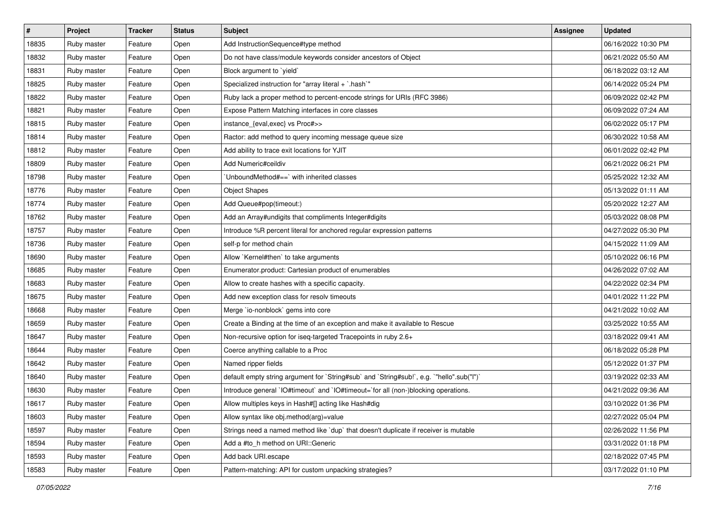| #     | <b>Project</b> | <b>Tracker</b> | <b>Status</b> | <b>Subject</b>                                                                            | Assignee | <b>Updated</b>      |
|-------|----------------|----------------|---------------|-------------------------------------------------------------------------------------------|----------|---------------------|
| 18835 | Ruby master    | Feature        | Open          | Add InstructionSequence#type method                                                       |          | 06/16/2022 10:30 PM |
| 18832 | Ruby master    | Feature        | Open          | Do not have class/module keywords consider ancestors of Object                            |          | 06/21/2022 05:50 AM |
| 18831 | Ruby master    | Feature        | Open          | Block argument to `yield`                                                                 |          | 06/18/2022 03:12 AM |
| 18825 | Ruby master    | Feature        | Open          | Specialized instruction for "array literal + `.hash`"                                     |          | 06/14/2022 05:24 PM |
| 18822 | Ruby master    | Feature        | Open          | Ruby lack a proper method to percent-encode strings for URIs (RFC 3986)                   |          | 06/09/2022 02:42 PM |
| 18821 | Ruby master    | Feature        | Open          | Expose Pattern Matching interfaces in core classes                                        |          | 06/09/2022 07:24 AM |
| 18815 | Ruby master    | Feature        | Open          | instance_{eval,exec} vs Proc#>>                                                           |          | 06/02/2022 05:17 PM |
| 18814 | Ruby master    | Feature        | Open          | Ractor: add method to query incoming message queue size                                   |          | 06/30/2022 10:58 AM |
| 18812 | Ruby master    | Feature        | Open          | Add ability to trace exit locations for YJIT                                              |          | 06/01/2022 02:42 PM |
| 18809 | Ruby master    | Feature        | Open          | Add Numeric#ceildiv                                                                       |          | 06/21/2022 06:21 PM |
| 18798 | Ruby master    | Feature        | Open          | UnboundMethod#==` with inherited classes                                                  |          | 05/25/2022 12:32 AM |
| 18776 | Ruby master    | Feature        | Open          | <b>Object Shapes</b>                                                                      |          | 05/13/2022 01:11 AM |
| 18774 | Ruby master    | Feature        | Open          | Add Queue#pop(timeout:)                                                                   |          | 05/20/2022 12:27 AM |
| 18762 | Ruby master    | Feature        | Open          | Add an Array#undigits that compliments Integer#digits                                     |          | 05/03/2022 08:08 PM |
| 18757 | Ruby master    | Feature        | Open          | Introduce %R percent literal for anchored regular expression patterns                     |          | 04/27/2022 05:30 PM |
| 18736 | Ruby master    | Feature        | Open          | self-p for method chain                                                                   |          | 04/15/2022 11:09 AM |
| 18690 | Ruby master    | Feature        | Open          | Allow `Kernel#then` to take arguments                                                     |          | 05/10/2022 06:16 PM |
| 18685 | Ruby master    | Feature        | Open          | Enumerator.product: Cartesian product of enumerables                                      |          | 04/26/2022 07:02 AM |
| 18683 | Ruby master    | Feature        | Open          | Allow to create hashes with a specific capacity.                                          |          | 04/22/2022 02:34 PM |
| 18675 | Ruby master    | Feature        | Open          | Add new exception class for resolv timeouts                                               |          | 04/01/2022 11:22 PM |
| 18668 | Ruby master    | Feature        | Open          | Merge `io-nonblock` gems into core                                                        |          | 04/21/2022 10:02 AM |
| 18659 | Ruby master    | Feature        | Open          | Create a Binding at the time of an exception and make it available to Rescue              |          | 03/25/2022 10:55 AM |
| 18647 | Ruby master    | Feature        | Open          | Non-recursive option for iseq-targeted Tracepoints in ruby 2.6+                           |          | 03/18/2022 09:41 AM |
| 18644 | Ruby master    | Feature        | Open          | Coerce anything callable to a Proc                                                        |          | 06/18/2022 05:28 PM |
| 18642 | Ruby master    | Feature        | Open          | Named ripper fields                                                                       |          | 05/12/2022 01:37 PM |
| 18640 | Ruby master    | Feature        | Open          | default empty string argument for `String#sub` and `String#sub!`, e.g. `"hello".sub("I")` |          | 03/19/2022 02:33 AM |
| 18630 | Ruby master    | Feature        | Open          | Introduce general `IO#timeout` and `IO#timeout=`for all (non-)blocking operations.        |          | 04/21/2022 09:36 AM |
| 18617 | Ruby master    | Feature        | Open          | Allow multiples keys in Hash#[] acting like Hash#dig                                      |          | 03/10/2022 01:36 PM |
| 18603 | Ruby master    | Feature        | Open          | Allow syntax like obj.method(arg)=value                                                   |          | 02/27/2022 05:04 PM |
| 18597 | Ruby master    | Feature        | Open          | Strings need a named method like 'dup' that doesn't duplicate if receiver is mutable      |          | 02/26/2022 11:56 PM |
| 18594 | Ruby master    | Feature        | Open          | Add a #to_h method on URI::Generic                                                        |          | 03/31/2022 01:18 PM |
| 18593 | Ruby master    | Feature        | Open          | Add back URI.escape                                                                       |          | 02/18/2022 07:45 PM |
| 18583 | Ruby master    | Feature        | Open          | Pattern-matching: API for custom unpacking strategies?                                    |          | 03/17/2022 01:10 PM |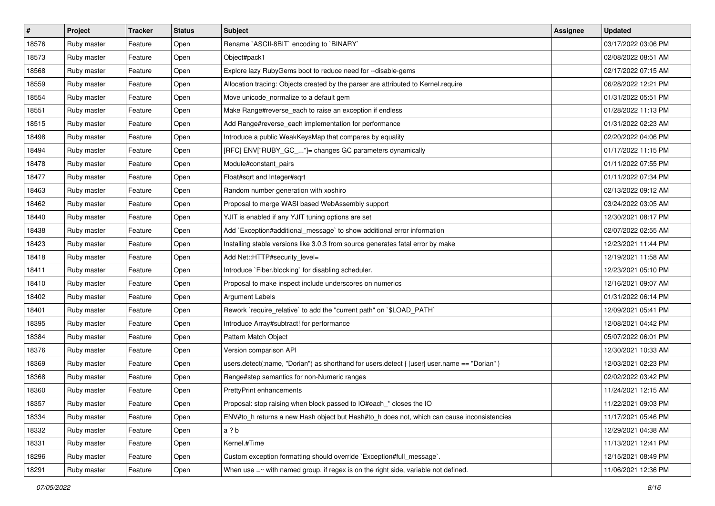| $\sharp$ | <b>Project</b> | <b>Tracker</b> | <b>Status</b> | <b>Subject</b>                                                                               | <b>Assignee</b> | <b>Updated</b>      |
|----------|----------------|----------------|---------------|----------------------------------------------------------------------------------------------|-----------------|---------------------|
| 18576    | Ruby master    | Feature        | Open          | Rename `ASCII-8BIT` encoding to `BINARY`                                                     |                 | 03/17/2022 03:06 PM |
| 18573    | Ruby master    | Feature        | Open          | Object#pack1                                                                                 |                 | 02/08/2022 08:51 AM |
| 18568    | Ruby master    | Feature        | Open          | Explore lazy RubyGems boot to reduce need for --disable-gems                                 |                 | 02/17/2022 07:15 AM |
| 18559    | Ruby master    | Feature        | Open          | Allocation tracing: Objects created by the parser are attributed to Kernel.require           |                 | 06/28/2022 12:21 PM |
| 18554    | Ruby master    | Feature        | Open          | Move unicode_normalize to a default gem                                                      |                 | 01/31/2022 05:51 PM |
| 18551    | Ruby master    | Feature        | Open          | Make Range#reverse_each to raise an exception if endless                                     |                 | 01/28/2022 11:13 PM |
| 18515    | Ruby master    | Feature        | Open          | Add Range#reverse_each implementation for performance                                        |                 | 01/31/2022 02:23 AM |
| 18498    | Ruby master    | Feature        | Open          | Introduce a public WeakKeysMap that compares by equality                                     |                 | 02/20/2022 04:06 PM |
| 18494    | Ruby master    | Feature        | Open          | [RFC] ENV["RUBY_GC_"]= changes GC parameters dynamically                                     |                 | 01/17/2022 11:15 PM |
| 18478    | Ruby master    | Feature        | Open          | Module#constant pairs                                                                        |                 | 01/11/2022 07:55 PM |
| 18477    | Ruby master    | Feature        | Open          | Float#sqrt and Integer#sqrt                                                                  |                 | 01/11/2022 07:34 PM |
| 18463    | Ruby master    | Feature        | Open          | Random number generation with xoshiro                                                        |                 | 02/13/2022 09:12 AM |
| 18462    | Ruby master    | Feature        | Open          | Proposal to merge WASI based WebAssembly support                                             |                 | 03/24/2022 03:05 AM |
| 18440    | Ruby master    | Feature        | Open          | YJIT is enabled if any YJIT tuning options are set                                           |                 | 12/30/2021 08:17 PM |
| 18438    | Ruby master    | Feature        | Open          | Add `Exception#additional_message` to show additional error information                      |                 | 02/07/2022 02:55 AM |
| 18423    | Ruby master    | Feature        | Open          | Installing stable versions like 3.0.3 from source generates fatal error by make              |                 | 12/23/2021 11:44 PM |
| 18418    | Ruby master    | Feature        | Open          | Add Net::HTTP#security_level=                                                                |                 | 12/19/2021 11:58 AM |
| 18411    | Ruby master    | Feature        | Open          | Introduce `Fiber.blocking` for disabling scheduler.                                          |                 | 12/23/2021 05:10 PM |
| 18410    | Ruby master    | Feature        | Open          | Proposal to make inspect include underscores on numerics                                     |                 | 12/16/2021 09:07 AM |
| 18402    | Ruby master    | Feature        | Open          | <b>Argument Labels</b>                                                                       |                 | 01/31/2022 06:14 PM |
| 18401    | Ruby master    | Feature        | Open          | Rework `require_relative` to add the "current path" on `\$LOAD_PATH`                         |                 | 12/09/2021 05:41 PM |
| 18395    | Ruby master    | Feature        | Open          | Introduce Array#subtract! for performance                                                    |                 | 12/08/2021 04:42 PM |
| 18384    | Ruby master    | Feature        | Open          | Pattern Match Object                                                                         |                 | 05/07/2022 06:01 PM |
| 18376    | Ruby master    | Feature        | Open          | Version comparison API                                                                       |                 | 12/30/2021 10:33 AM |
| 18369    | Ruby master    | Feature        | Open          | users.detect(:name, "Dorian") as shorthand for users.detect {  user  user.name == "Dorian" } |                 | 12/03/2021 02:23 PM |
| 18368    | Ruby master    | Feature        | Open          | Range#step semantics for non-Numeric ranges                                                  |                 | 02/02/2022 03:42 PM |
| 18360    | Ruby master    | Feature        | Open          | <b>PrettyPrint enhancements</b>                                                              |                 | 11/24/2021 12:15 AM |
| 18357    | Ruby master    | Feature        | Open          | Proposal: stop raising when block passed to IO#each_* closes the IO                          |                 | 11/22/2021 09:03 PM |
| 18334    | Ruby master    | Feature        | Open          | ENV#to h returns a new Hash object but Hash#to h does not, which can cause inconsistencies   |                 | 11/17/2021 05:46 PM |
| 18332    | Ruby master    | Feature        | Open          | a ? b                                                                                        |                 | 12/29/2021 04:38 AM |
| 18331    | Ruby master    | Feature        | Open          | Kernel.#Time                                                                                 |                 | 11/13/2021 12:41 PM |
| 18296    | Ruby master    | Feature        | Open          | Custom exception formatting should override `Exception#full_message`.                        |                 | 12/15/2021 08:49 PM |
| 18291    | Ruby master    | Feature        | Open          | When use $=\sim$ with named group, if regex is on the right side, variable not defined.      |                 | 11/06/2021 12:36 PM |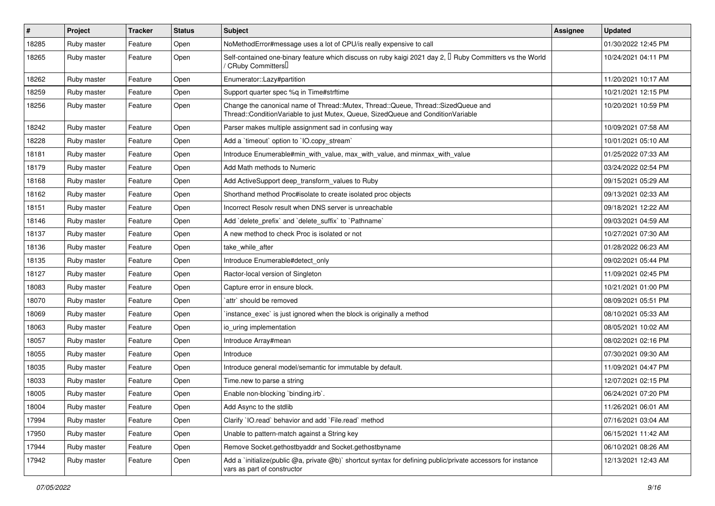| $\pmb{\#}$ | Project     | <b>Tracker</b> | <b>Status</b> | Subject                                                                                                                                                               | <b>Assignee</b> | <b>Updated</b>      |
|------------|-------------|----------------|---------------|-----------------------------------------------------------------------------------------------------------------------------------------------------------------------|-----------------|---------------------|
| 18285      | Ruby master | Feature        | Open          | NoMethodError#message uses a lot of CPU/is really expensive to call                                                                                                   |                 | 01/30/2022 12:45 PM |
| 18265      | Ruby master | Feature        | Open          | Self-contained one-binary feature which discuss on ruby kaigi 2021 day 2, I Ruby Committers vs the World<br>/ CRuby Committers                                        |                 | 10/24/2021 04:11 PM |
| 18262      | Ruby master | Feature        | Open          | Enumerator::Lazy#partition                                                                                                                                            |                 | 11/20/2021 10:17 AM |
| 18259      | Ruby master | Feature        | Open          | Support quarter spec %q in Time#strftime                                                                                                                              |                 | 10/21/2021 12:15 PM |
| 18256      | Ruby master | Feature        | Open          | Change the canonical name of Thread::Mutex, Thread::Queue, Thread::SizedQueue and<br>Thread::ConditionVariable to just Mutex, Queue, SizedQueue and ConditionVariable |                 | 10/20/2021 10:59 PM |
| 18242      | Ruby master | Feature        | Open          | Parser makes multiple assignment sad in confusing way                                                                                                                 |                 | 10/09/2021 07:58 AM |
| 18228      | Ruby master | Feature        | Open          | Add a 'timeout' option to 'IO.copy_stream'                                                                                                                            |                 | 10/01/2021 05:10 AM |
| 18181      | Ruby master | Feature        | Open          | Introduce Enumerable#min_with_value, max_with_value, and minmax_with_value                                                                                            |                 | 01/25/2022 07:33 AM |
| 18179      | Ruby master | Feature        | Open          | Add Math methods to Numeric                                                                                                                                           |                 | 03/24/2022 02:54 PM |
| 18168      | Ruby master | Feature        | Open          | Add ActiveSupport deep_transform_values to Ruby                                                                                                                       |                 | 09/15/2021 05:29 AM |
| 18162      | Ruby master | Feature        | Open          | Shorthand method Proc#isolate to create isolated proc objects                                                                                                         |                 | 09/13/2021 02:33 AM |
| 18151      | Ruby master | Feature        | Open          | Incorrect Resolv result when DNS server is unreachable                                                                                                                |                 | 09/18/2021 12:22 AM |
| 18146      | Ruby master | Feature        | Open          | Add 'delete_prefix' and 'delete_suffix' to 'Pathname'                                                                                                                 |                 | 09/03/2021 04:59 AM |
| 18137      | Ruby master | Feature        | Open          | A new method to check Proc is isolated or not                                                                                                                         |                 | 10/27/2021 07:30 AM |
| 18136      | Ruby master | Feature        | Open          | take while after                                                                                                                                                      |                 | 01/28/2022 06:23 AM |
| 18135      | Ruby master | Feature        | Open          | Introduce Enumerable#detect_only                                                                                                                                      |                 | 09/02/2021 05:44 PM |
| 18127      | Ruby master | Feature        | Open          | Ractor-local version of Singleton                                                                                                                                     |                 | 11/09/2021 02:45 PM |
| 18083      | Ruby master | Feature        | Open          | Capture error in ensure block.                                                                                                                                        |                 | 10/21/2021 01:00 PM |
| 18070      | Ruby master | Feature        | Open          | `attr` should be removed                                                                                                                                              |                 | 08/09/2021 05:51 PM |
| 18069      | Ruby master | Feature        | Open          | instance_exec` is just ignored when the block is originally a method                                                                                                  |                 | 08/10/2021 05:33 AM |
| 18063      | Ruby master | Feature        | Open          | io uring implementation                                                                                                                                               |                 | 08/05/2021 10:02 AM |
| 18057      | Ruby master | Feature        | Open          | Introduce Array#mean                                                                                                                                                  |                 | 08/02/2021 02:16 PM |
| 18055      | Ruby master | Feature        | Open          | Introduce                                                                                                                                                             |                 | 07/30/2021 09:30 AM |
| 18035      | Ruby master | Feature        | Open          | Introduce general model/semantic for immutable by default.                                                                                                            |                 | 11/09/2021 04:47 PM |
| 18033      | Ruby master | Feature        | Open          | Time.new to parse a string                                                                                                                                            |                 | 12/07/2021 02:15 PM |
| 18005      | Ruby master | Feature        | Open          | Enable non-blocking 'binding.irb'.                                                                                                                                    |                 | 06/24/2021 07:20 PM |
| 18004      | Ruby master | Feature        | Open          | Add Async to the stdlib                                                                                                                                               |                 | 11/26/2021 06:01 AM |
| 17994      | Ruby master | Feature        | Open          | Clarify 'IO.read' behavior and add 'File.read' method                                                                                                                 |                 | 07/16/2021 03:04 AM |
| 17950      | Ruby master | Feature        | Open          | Unable to pattern-match against a String key                                                                                                                          |                 | 06/15/2021 11:42 AM |
| 17944      | Ruby master | Feature        | Open          | Remove Socket.gethostbyaddr and Socket.gethostbyname                                                                                                                  |                 | 06/10/2021 08:26 AM |
| 17942      | Ruby master | Feature        | Open          | Add a 'initialize(public @a, private @b)' shortcut syntax for defining public/private accessors for instance<br>vars as part of constructor                           |                 | 12/13/2021 12:43 AM |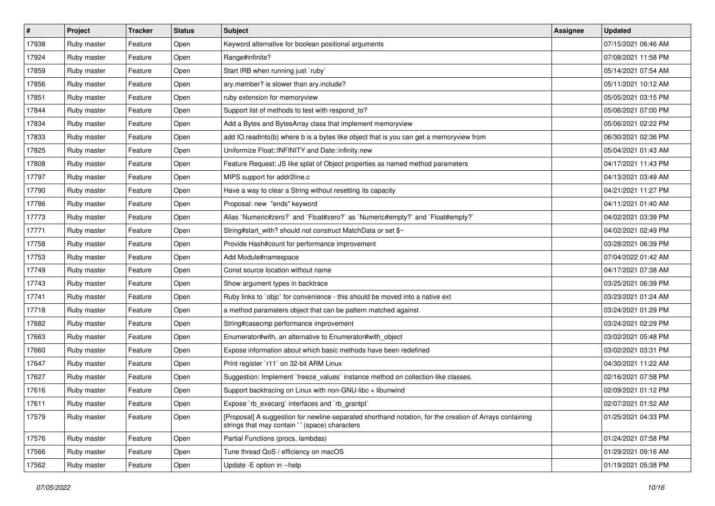| #     | Project     | <b>Tracker</b> | <b>Status</b> | <b>Subject</b>                                                                                                                                            | <b>Assignee</b> | <b>Updated</b>      |
|-------|-------------|----------------|---------------|-----------------------------------------------------------------------------------------------------------------------------------------------------------|-----------------|---------------------|
| 17938 | Ruby master | Feature        | Open          | Keyword alternative for boolean positional arguments                                                                                                      |                 | 07/15/2021 06:46 AM |
| 17924 | Ruby master | Feature        | Open          | Range#infinite?                                                                                                                                           |                 | 07/08/2021 11:58 PM |
| 17859 | Ruby master | Feature        | Open          | Start IRB when running just `ruby`                                                                                                                        |                 | 05/14/2021 07:54 AM |
| 17856 | Ruby master | Feature        | Open          | ary.member? is slower than ary.include?                                                                                                                   |                 | 05/11/2021 10:12 AM |
| 17851 | Ruby master | Feature        | Open          | ruby extension for memoryview                                                                                                                             |                 | 05/05/2021 03:15 PM |
| 17844 | Ruby master | Feature        | Open          | Support list of methods to test with respond_to?                                                                                                          |                 | 05/06/2021 07:00 PM |
| 17834 | Ruby master | Feature        | Open          | Add a Bytes and BytesArray class that implement memoryview                                                                                                |                 | 05/06/2021 02:22 PM |
| 17833 | Ruby master | Feature        | Open          | add IO.readinto(b) where b is a bytes like object that is you can get a memoryview from                                                                   |                 | 06/30/2021 02:36 PM |
| 17825 | Ruby master | Feature        | Open          | Uniformize Float::INFINITY and Date::infinity.new                                                                                                         |                 | 05/04/2021 01:43 AM |
| 17808 | Ruby master | Feature        | Open          | Feature Request: JS like splat of Object properties as named method parameters                                                                            |                 | 04/17/2021 11:43 PM |
| 17797 | Ruby master | Feature        | Open          | MIPS support for addr2line.c                                                                                                                              |                 | 04/13/2021 03:49 AM |
| 17790 | Ruby master | Feature        | Open          | Have a way to clear a String without resetting its capacity                                                                                               |                 | 04/21/2021 11:27 PM |
| 17786 | Ruby master | Feature        | Open          | Proposal: new "ends" keyword                                                                                                                              |                 | 04/11/2021 01:40 AM |
| 17773 | Ruby master | Feature        | Open          | Alias `Numeric#zero?` and `Float#zero?` as `Numeric#empty?` and `Float#empty?`                                                                            |                 | 04/02/2021 03:39 PM |
| 17771 | Ruby master | Feature        | Open          | String#start_with? should not construct MatchData or set \$~                                                                                              |                 | 04/02/2021 02:49 PM |
| 17758 | Ruby master | Feature        | Open          | Provide Hash#count for performance improvement                                                                                                            |                 | 03/28/2021 06:39 PM |
| 17753 | Ruby master | Feature        | Open          | Add Module#namespace                                                                                                                                      |                 | 07/04/2022 01:42 AM |
| 17749 | Ruby master | Feature        | Open          | Const source location without name                                                                                                                        |                 | 04/17/2021 07:38 AM |
| 17743 | Ruby master | Feature        | Open          | Show argument types in backtrace                                                                                                                          |                 | 03/25/2021 06:39 PM |
| 17741 | Ruby master | Feature        | Open          | Ruby links to `objc` for convenience - this should be moved into a native ext                                                                             |                 | 03/23/2021 01:24 AM |
| 17718 | Ruby master | Feature        | Open          | a method paramaters object that can be pattern matched against                                                                                            |                 | 03/24/2021 01:29 PM |
| 17682 | Ruby master | Feature        | Open          | String#casecmp performance improvement                                                                                                                    |                 | 03/24/2021 02:29 PM |
| 17663 | Ruby master | Feature        | Open          | Enumerator#with, an alternative to Enumerator#with_object                                                                                                 |                 | 03/02/2021 05:48 PM |
| 17660 | Ruby master | Feature        | Open          | Expose information about which basic methods have been redefined                                                                                          |                 | 03/02/2021 03:31 PM |
| 17647 | Ruby master | Feature        | Open          | Print register `r11` on 32-bit ARM Linux                                                                                                                  |                 | 04/30/2021 11:22 AM |
| 17627 | Ruby master | Feature        | Open          | Suggestion: Implement `freeze_values` instance method on collection-like classes.                                                                         |                 | 02/16/2021 07:58 PM |
| 17616 | Ruby master | Feature        | Open          | Support backtracing on Linux with non-GNU-libc + libunwind                                                                                                |                 | 02/09/2021 01:12 PM |
| 17611 | Ruby master | Feature        | Open          | Expose `rb_execarg` interfaces and `rb_grantpt`                                                                                                           |                 | 02/07/2021 01:52 AM |
| 17579 | Ruby master | Feature        | Open          | [Proposal] A suggestion for newline-separated shorthand notation, for the creation of Arrays containing<br>strings that may contain '' (space) characters |                 | 01/25/2021 04:33 PM |
| 17576 | Ruby master | Feature        | Open          | Partial Functions (procs, lambdas)                                                                                                                        |                 | 01/24/2021 07:58 PM |
| 17566 | Ruby master | Feature        | Open          | Tune thread QoS / efficiency on macOS                                                                                                                     |                 | 01/29/2021 09:16 AM |
| 17562 | Ruby master | Feature        | Open          | Update - E option in --help                                                                                                                               |                 | 01/19/2021 05:38 PM |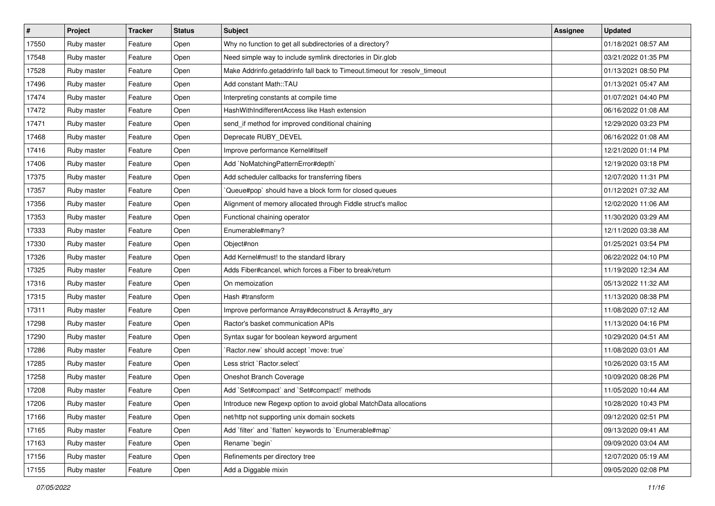| $\vert$ # | Project     | <b>Tracker</b> | <b>Status</b> | Subject                                                                    | <b>Assignee</b> | <b>Updated</b>      |
|-----------|-------------|----------------|---------------|----------------------------------------------------------------------------|-----------------|---------------------|
| 17550     | Ruby master | Feature        | Open          | Why no function to get all subdirectories of a directory?                  |                 | 01/18/2021 08:57 AM |
| 17548     | Ruby master | Feature        | Open          | Need simple way to include symlink directories in Dir.glob                 |                 | 03/21/2022 01:35 PM |
| 17528     | Ruby master | Feature        | Open          | Make Addrinfo.getaddrinfo fall back to Timeout.timeout for :resolv_timeout |                 | 01/13/2021 08:50 PM |
| 17496     | Ruby master | Feature        | Open          | Add constant Math::TAU                                                     |                 | 01/13/2021 05:47 AM |
| 17474     | Ruby master | Feature        | Open          | Interpreting constants at compile time                                     |                 | 01/07/2021 04:40 PM |
| 17472     | Ruby master | Feature        | Open          | HashWithIndifferentAccess like Hash extension                              |                 | 06/16/2022 01:08 AM |
| 17471     | Ruby master | Feature        | Open          | send_if method for improved conditional chaining                           |                 | 12/29/2020 03:23 PM |
| 17468     | Ruby master | Feature        | Open          | Deprecate RUBY_DEVEL                                                       |                 | 06/16/2022 01:08 AM |
| 17416     | Ruby master | Feature        | Open          | Improve performance Kernel#itself                                          |                 | 12/21/2020 01:14 PM |
| 17406     | Ruby master | Feature        | Open          | Add `NoMatchingPatternError#depth`                                         |                 | 12/19/2020 03:18 PM |
| 17375     | Ruby master | Feature        | Open          | Add scheduler callbacks for transferring fibers                            |                 | 12/07/2020 11:31 PM |
| 17357     | Ruby master | Feature        | Open          | 'Queue#pop' should have a block form for closed queues                     |                 | 01/12/2021 07:32 AM |
| 17356     | Ruby master | Feature        | Open          | Alignment of memory allocated through Fiddle struct's malloc               |                 | 12/02/2020 11:06 AM |
| 17353     | Ruby master | Feature        | Open          | Functional chaining operator                                               |                 | 11/30/2020 03:29 AM |
| 17333     | Ruby master | Feature        | Open          | Enumerable#many?                                                           |                 | 12/11/2020 03:38 AM |
| 17330     | Ruby master | Feature        | Open          | Object#non                                                                 |                 | 01/25/2021 03:54 PM |
| 17326     | Ruby master | Feature        | Open          | Add Kernel#must! to the standard library                                   |                 | 06/22/2022 04:10 PM |
| 17325     | Ruby master | Feature        | Open          | Adds Fiber#cancel, which forces a Fiber to break/return                    |                 | 11/19/2020 12:34 AM |
| 17316     | Ruby master | Feature        | Open          | On memoization                                                             |                 | 05/13/2022 11:32 AM |
| 17315     | Ruby master | Feature        | Open          | Hash #transform                                                            |                 | 11/13/2020 08:38 PM |
| 17311     | Ruby master | Feature        | Open          | Improve performance Array#deconstruct & Array#to_ary                       |                 | 11/08/2020 07:12 AM |
| 17298     | Ruby master | Feature        | Open          | Ractor's basket communication APIs                                         |                 | 11/13/2020 04:16 PM |
| 17290     | Ruby master | Feature        | Open          | Syntax sugar for boolean keyword argument                                  |                 | 10/29/2020 04:51 AM |
| 17286     | Ruby master | Feature        | Open          | `Ractor.new` should accept `move: true`                                    |                 | 11/08/2020 03:01 AM |
| 17285     | Ruby master | Feature        | Open          | Less strict `Ractor.select`                                                |                 | 10/26/2020 03:15 AM |
| 17258     | Ruby master | Feature        | Open          | Oneshot Branch Coverage                                                    |                 | 10/09/2020 08:26 PM |
| 17208     | Ruby master | Feature        | Open          | Add `Set#compact` and `Set#compact!` methods                               |                 | 11/05/2020 10:44 AM |
| 17206     | Ruby master | Feature        | Open          | Introduce new Regexp option to avoid global MatchData allocations          |                 | 10/28/2020 10:43 PM |
| 17166     | Ruby master | Feature        | Open          | net/http not supporting unix domain sockets                                |                 | 09/12/2020 02:51 PM |
| 17165     | Ruby master | Feature        | Open          | Add `filter` and `flatten` keywords to `Enumerable#map`                    |                 | 09/13/2020 09:41 AM |
| 17163     | Ruby master | Feature        | Open          | Rename `begin`                                                             |                 | 09/09/2020 03:04 AM |
| 17156     | Ruby master | Feature        | Open          | Refinements per directory tree                                             |                 | 12/07/2020 05:19 AM |
| 17155     | Ruby master | Feature        | Open          | Add a Diggable mixin                                                       |                 | 09/05/2020 02:08 PM |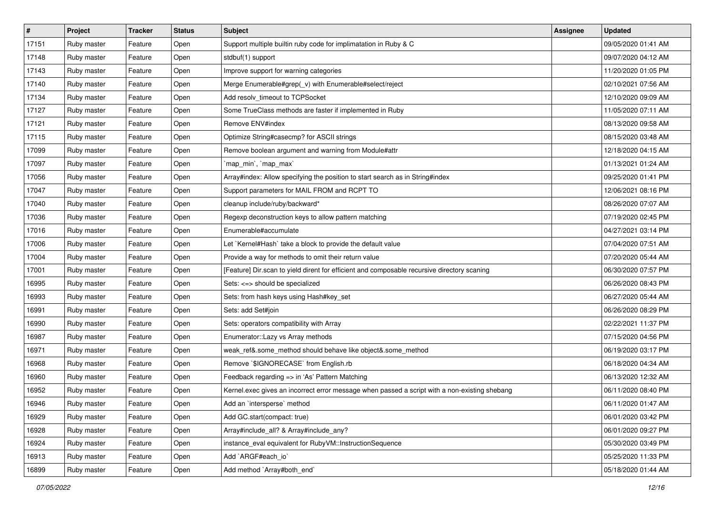| $\vert$ # | Project     | <b>Tracker</b> | <b>Status</b> | <b>Subject</b>                                                                                | <b>Assignee</b> | <b>Updated</b>      |
|-----------|-------------|----------------|---------------|-----------------------------------------------------------------------------------------------|-----------------|---------------------|
| 17151     | Ruby master | Feature        | Open          | Support multiple builtin ruby code for implimatation in Ruby & C                              |                 | 09/05/2020 01:41 AM |
| 17148     | Ruby master | Feature        | Open          | stdbuf(1) support                                                                             |                 | 09/07/2020 04:12 AM |
| 17143     | Ruby master | Feature        | Open          | Improve support for warning categories                                                        |                 | 11/20/2020 01:05 PM |
| 17140     | Ruby master | Feature        | Open          | Merge Enumerable#grep(_v) with Enumerable#select/reject                                       |                 | 02/10/2021 07:56 AM |
| 17134     | Ruby master | Feature        | Open          | Add resolv_timeout to TCPSocket                                                               |                 | 12/10/2020 09:09 AM |
| 17127     | Ruby master | Feature        | Open          | Some TrueClass methods are faster if implemented in Ruby                                      |                 | 11/05/2020 07:11 AM |
| 17121     | Ruby master | Feature        | Open          | Remove ENV#index                                                                              |                 | 08/13/2020 09:58 AM |
| 17115     | Ruby master | Feature        | Open          | Optimize String#casecmp? for ASCII strings                                                    |                 | 08/15/2020 03:48 AM |
| 17099     | Ruby master | Feature        | Open          | Remove boolean argument and warning from Module#attr                                          |                 | 12/18/2020 04:15 AM |
| 17097     | Ruby master | Feature        | Open          | `map_min`, `map_max`                                                                          |                 | 01/13/2021 01:24 AM |
| 17056     | Ruby master | Feature        | Open          | Array#index: Allow specifying the position to start search as in String#index                 |                 | 09/25/2020 01:41 PM |
| 17047     | Ruby master | Feature        | Open          | Support parameters for MAIL FROM and RCPT TO                                                  |                 | 12/06/2021 08:16 PM |
| 17040     | Ruby master | Feature        | Open          | cleanup include/ruby/backward*                                                                |                 | 08/26/2020 07:07 AM |
| 17036     | Ruby master | Feature        | Open          | Regexp deconstruction keys to allow pattern matching                                          |                 | 07/19/2020 02:45 PM |
| 17016     | Ruby master | Feature        | Open          | Enumerable#accumulate                                                                         |                 | 04/27/2021 03:14 PM |
| 17006     | Ruby master | Feature        | Open          | Let `Kernel#Hash` take a block to provide the default value                                   |                 | 07/04/2020 07:51 AM |
| 17004     | Ruby master | Feature        | Open          | Provide a way for methods to omit their return value                                          |                 | 07/20/2020 05:44 AM |
| 17001     | Ruby master | Feature        | Open          | [Feature] Dir.scan to yield dirent for efficient and composable recursive directory scaning   |                 | 06/30/2020 07:57 PM |
| 16995     | Ruby master | Feature        | Open          | Sets: <=> should be specialized                                                               |                 | 06/26/2020 08:43 PM |
| 16993     | Ruby master | Feature        | Open          | Sets: from hash keys using Hash#key_set                                                       |                 | 06/27/2020 05:44 AM |
| 16991     | Ruby master | Feature        | Open          | Sets: add Set#join                                                                            |                 | 06/26/2020 08:29 PM |
| 16990     | Ruby master | Feature        | Open          | Sets: operators compatibility with Array                                                      |                 | 02/22/2021 11:37 PM |
| 16987     | Ruby master | Feature        | Open          | Enumerator::Lazy vs Array methods                                                             |                 | 07/15/2020 04:56 PM |
| 16971     | Ruby master | Feature        | Open          | weak_ref&.some_method should behave like object&.some_method                                  |                 | 06/19/2020 03:17 PM |
| 16968     | Ruby master | Feature        | Open          | Remove `\$IGNORECASE` from English.rb                                                         |                 | 06/18/2020 04:34 AM |
| 16960     | Ruby master | Feature        | Open          | Feedback regarding => in 'As' Pattern Matching                                                |                 | 06/13/2020 12:32 AM |
| 16952     | Ruby master | Feature        | Open          | Kernel.exec gives an incorrect error message when passed a script with a non-existing shebang |                 | 06/11/2020 08:40 PM |
| 16946     | Ruby master | Feature        | Open          | Add an `intersperse` method                                                                   |                 | 06/11/2020 01:47 AM |
| 16929     | Ruby master | Feature        | Open          | Add GC.start(compact: true)                                                                   |                 | 06/01/2020 03:42 PM |
| 16928     | Ruby master | Feature        | Open          | Array#include_all? & Array#include_any?                                                       |                 | 06/01/2020 09:27 PM |
| 16924     | Ruby master | Feature        | Open          | instance_eval equivalent for RubyVM::InstructionSequence                                      |                 | 05/30/2020 03:49 PM |
| 16913     | Ruby master | Feature        | Open          | Add `ARGF#each_io`                                                                            |                 | 05/25/2020 11:33 PM |
| 16899     | Ruby master | Feature        | Open          | Add method `Array#both_end`                                                                   |                 | 05/18/2020 01:44 AM |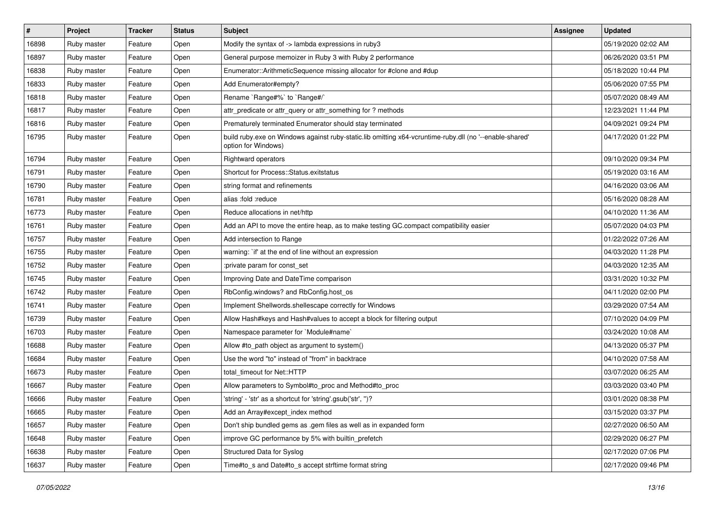| $\sharp$ | <b>Project</b> | <b>Tracker</b> | <b>Status</b> | <b>Subject</b>                                                                                                                 | <b>Assignee</b> | <b>Updated</b>      |
|----------|----------------|----------------|---------------|--------------------------------------------------------------------------------------------------------------------------------|-----------------|---------------------|
| 16898    | Ruby master    | Feature        | Open          | Modify the syntax of -> lambda expressions in ruby3                                                                            |                 | 05/19/2020 02:02 AM |
| 16897    | Ruby master    | Feature        | Open          | General purpose memoizer in Ruby 3 with Ruby 2 performance                                                                     |                 | 06/26/2020 03:51 PM |
| 16838    | Ruby master    | Feature        | Open          | Enumerator::ArithmeticSequence missing allocator for #clone and #dup                                                           |                 | 05/18/2020 10:44 PM |
| 16833    | Ruby master    | Feature        | Open          | Add Enumerator#empty?                                                                                                          |                 | 05/06/2020 07:55 PM |
| 16818    | Ruby master    | Feature        | Open          | Rename `Range#%` to `Range#/`                                                                                                  |                 | 05/07/2020 08:49 AM |
| 16817    | Ruby master    | Feature        | Open          | attr_predicate or attr_query or attr_something for ? methods                                                                   |                 | 12/23/2021 11:44 PM |
| 16816    | Ruby master    | Feature        | Open          | Prematurely terminated Enumerator should stay terminated                                                                       |                 | 04/09/2021 09:24 PM |
| 16795    | Ruby master    | Feature        | Open          | build ruby.exe on Windows against ruby-static.lib omitting x64-vcruntime-ruby.dll (no '--enable-shared'<br>option for Windows) |                 | 04/17/2020 01:22 PM |
| 16794    | Ruby master    | Feature        | Open          | <b>Rightward operators</b>                                                                                                     |                 | 09/10/2020 09:34 PM |
| 16791    | Ruby master    | Feature        | Open          | Shortcut for Process::Status.exitstatus                                                                                        |                 | 05/19/2020 03:16 AM |
| 16790    | Ruby master    | Feature        | Open          | string format and refinements                                                                                                  |                 | 04/16/2020 03:06 AM |
| 16781    | Ruby master    | Feature        | Open          | alias :fold :reduce                                                                                                            |                 | 05/16/2020 08:28 AM |
| 16773    | Ruby master    | Feature        | Open          | Reduce allocations in net/http                                                                                                 |                 | 04/10/2020 11:36 AM |
| 16761    | Ruby master    | Feature        | Open          | Add an API to move the entire heap, as to make testing GC.compact compatibility easier                                         |                 | 05/07/2020 04:03 PM |
| 16757    | Ruby master    | Feature        | Open          | Add intersection to Range                                                                                                      |                 | 01/22/2022 07:26 AM |
| 16755    | Ruby master    | Feature        | Open          | warning: `if' at the end of line without an expression                                                                         |                 | 04/03/2020 11:28 PM |
| 16752    | Ruby master    | Feature        | Open          | :private param for const_set                                                                                                   |                 | 04/03/2020 12:35 AM |
| 16745    | Ruby master    | Feature        | Open          | Improving Date and DateTime comparison                                                                                         |                 | 03/31/2020 10:32 PM |
| 16742    | Ruby master    | Feature        | Open          | RbConfig.windows? and RbConfig.host_os                                                                                         |                 | 04/11/2020 02:00 PM |
| 16741    | Ruby master    | Feature        | Open          | Implement Shellwords.shellescape correctly for Windows                                                                         |                 | 03/29/2020 07:54 AM |
| 16739    | Ruby master    | Feature        | Open          | Allow Hash#keys and Hash#values to accept a block for filtering output                                                         |                 | 07/10/2020 04:09 PM |
| 16703    | Ruby master    | Feature        | Open          | Namespace parameter for `Module#name`                                                                                          |                 | 03/24/2020 10:08 AM |
| 16688    | Ruby master    | Feature        | Open          | Allow #to_path object as argument to system()                                                                                  |                 | 04/13/2020 05:37 PM |
| 16684    | Ruby master    | Feature        | Open          | Use the word "to" instead of "from" in backtrace                                                                               |                 | 04/10/2020 07:58 AM |
| 16673    | Ruby master    | Feature        | Open          | total timeout for Net::HTTP                                                                                                    |                 | 03/07/2020 06:25 AM |
| 16667    | Ruby master    | Feature        | Open          | Allow parameters to Symbol#to_proc and Method#to_proc                                                                          |                 | 03/03/2020 03:40 PM |
| 16666    | Ruby master    | Feature        | Open          | 'string' - 'str' as a shortcut for 'string'.gsub('str', ")?                                                                    |                 | 03/01/2020 08:38 PM |
| 16665    | Ruby master    | Feature        | Open          | Add an Array#except index method                                                                                               |                 | 03/15/2020 03:37 PM |
| 16657    | Ruby master    | Feature        | Open          | Don't ship bundled gems as .gem files as well as in expanded form                                                              |                 | 02/27/2020 06:50 AM |
| 16648    | Ruby master    | Feature        | Open          | improve GC performance by 5% with builtin_prefetch                                                                             |                 | 02/29/2020 06:27 PM |
| 16638    | Ruby master    | Feature        | Open          | <b>Structured Data for Syslog</b>                                                                                              |                 | 02/17/2020 07:06 PM |
| 16637    | Ruby master    | Feature        | Open          | Time#to_s and Date#to_s accept strftime format string                                                                          |                 | 02/17/2020 09:46 PM |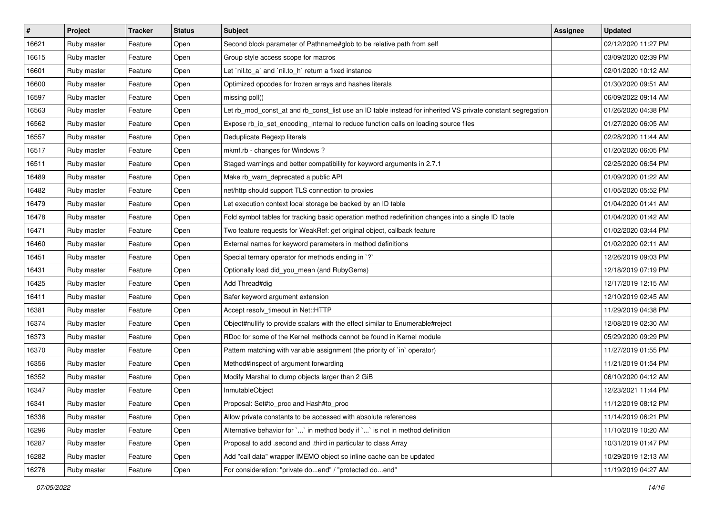| $\vert$ # | Project     | <b>Tracker</b> | <b>Status</b> | <b>Subject</b>                                                                                              | <b>Assignee</b> | <b>Updated</b>      |
|-----------|-------------|----------------|---------------|-------------------------------------------------------------------------------------------------------------|-----------------|---------------------|
| 16621     | Ruby master | Feature        | Open          | Second block parameter of Pathname#glob to be relative path from self                                       |                 | 02/12/2020 11:27 PM |
| 16615     | Ruby master | Feature        | Open          | Group style access scope for macros                                                                         |                 | 03/09/2020 02:39 PM |
| 16601     | Ruby master | Feature        | Open          | Let `nil.to_a` and `nil.to_h` return a fixed instance                                                       |                 | 02/01/2020 10:12 AM |
| 16600     | Ruby master | Feature        | Open          | Optimized opcodes for frozen arrays and hashes literals                                                     |                 | 01/30/2020 09:51 AM |
| 16597     | Ruby master | Feature        | Open          | missing poll()                                                                                              |                 | 06/09/2022 09:14 AM |
| 16563     | Ruby master | Feature        | Open          | Let rb_mod_const_at and rb_const_list use an ID table instead for inherited VS private constant segregation |                 | 01/26/2020 04:38 PM |
| 16562     | Ruby master | Feature        | Open          | Expose rb_io_set_encoding_internal to reduce function calls on loading source files                         |                 | 01/27/2020 06:05 AM |
| 16557     | Ruby master | Feature        | Open          | Deduplicate Regexp literals                                                                                 |                 | 02/28/2020 11:44 AM |
| 16517     | Ruby master | Feature        | Open          | mkmf.rb - changes for Windows?                                                                              |                 | 01/20/2020 06:05 PM |
| 16511     | Ruby master | Feature        | Open          | Staged warnings and better compatibility for keyword arguments in 2.7.1                                     |                 | 02/25/2020 06:54 PM |
| 16489     | Ruby master | Feature        | Open          | Make rb_warn_deprecated a public API                                                                        |                 | 01/09/2020 01:22 AM |
| 16482     | Ruby master | Feature        | Open          | net/http should support TLS connection to proxies                                                           |                 | 01/05/2020 05:52 PM |
| 16479     | Ruby master | Feature        | Open          | Let execution context local storage be backed by an ID table                                                |                 | 01/04/2020 01:41 AM |
| 16478     | Ruby master | Feature        | Open          | Fold symbol tables for tracking basic operation method redefinition changes into a single ID table          |                 | 01/04/2020 01:42 AM |
| 16471     | Ruby master | Feature        | Open          | Two feature requests for WeakRef: get original object, callback feature                                     |                 | 01/02/2020 03:44 PM |
| 16460     | Ruby master | Feature        | Open          | External names for keyword parameters in method definitions                                                 |                 | 01/02/2020 02:11 AM |
| 16451     | Ruby master | Feature        | Open          | Special ternary operator for methods ending in `?`                                                          |                 | 12/26/2019 09:03 PM |
| 16431     | Ruby master | Feature        | Open          | Optionally load did_you_mean (and RubyGems)                                                                 |                 | 12/18/2019 07:19 PM |
| 16425     | Ruby master | Feature        | Open          | Add Thread#dig                                                                                              |                 | 12/17/2019 12:15 AM |
| 16411     | Ruby master | Feature        | Open          | Safer keyword argument extension                                                                            |                 | 12/10/2019 02:45 AM |
| 16381     | Ruby master | Feature        | Open          | Accept resolv timeout in Net::HTTP                                                                          |                 | 11/29/2019 04:38 PM |
| 16374     | Ruby master | Feature        | Open          | Object#nullify to provide scalars with the effect similar to Enumerable#reject                              |                 | 12/08/2019 02:30 AM |
| 16373     | Ruby master | Feature        | Open          | RDoc for some of the Kernel methods cannot be found in Kernel module                                        |                 | 05/29/2020 09:29 PM |
| 16370     | Ruby master | Feature        | Open          | Pattern matching with variable assignment (the priority of `in` operator)                                   |                 | 11/27/2019 01:55 PM |
| 16356     | Ruby master | Feature        | Open          | Method#inspect of argument forwarding                                                                       |                 | 11/21/2019 01:54 PM |
| 16352     | Ruby master | Feature        | Open          | Modify Marshal to dump objects larger than 2 GiB                                                            |                 | 06/10/2020 04:12 AM |
| 16347     | Ruby master | Feature        | Open          | <b>InmutableObject</b>                                                                                      |                 | 12/23/2021 11:44 PM |
| 16341     | Ruby master | Feature        | Open          | Proposal: Set#to_proc and Hash#to_proc                                                                      |                 | 11/12/2019 08:12 PM |
| 16336     | Ruby master | Feature        | Open          | Allow private constants to be accessed with absolute references                                             |                 | 11/14/2019 06:21 PM |
| 16296     | Ruby master | Feature        | Open          | Alternative behavior for `` in method body if `' is not in method definition                                |                 | 11/10/2019 10:20 AM |
| 16287     | Ruby master | Feature        | Open          | Proposal to add .second and .third in particular to class Array                                             |                 | 10/31/2019 01:47 PM |
| 16282     | Ruby master | Feature        | Open          | Add "call data" wrapper IMEMO object so inline cache can be updated                                         |                 | 10/29/2019 12:13 AM |
| 16276     | Ruby master | Feature        | Open          | For consideration: "private doend" / "protected doend"                                                      |                 | 11/19/2019 04:27 AM |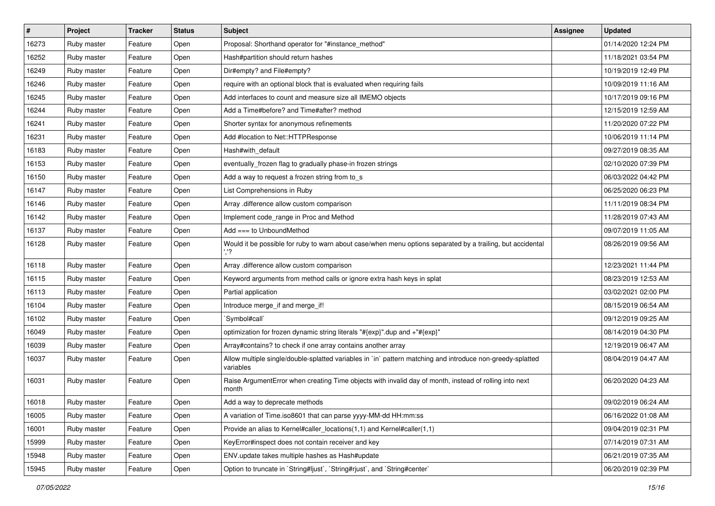| #     | Project     | <b>Tracker</b> | <b>Status</b> | <b>Subject</b>                                                                                                          | <b>Assignee</b> | <b>Updated</b>      |
|-------|-------------|----------------|---------------|-------------------------------------------------------------------------------------------------------------------------|-----------------|---------------------|
| 16273 | Ruby master | Feature        | Open          | Proposal: Shorthand operator for "#instance_method"                                                                     |                 | 01/14/2020 12:24 PM |
| 16252 | Ruby master | Feature        | Open          | Hash#partition should return hashes                                                                                     |                 | 11/18/2021 03:54 PM |
| 16249 | Ruby master | Feature        | Open          | Dir#empty? and File#empty?                                                                                              |                 | 10/19/2019 12:49 PM |
| 16246 | Ruby master | Feature        | Open          | require with an optional block that is evaluated when requiring fails                                                   |                 | 10/09/2019 11:16 AM |
| 16245 | Ruby master | Feature        | Open          | Add interfaces to count and measure size all IMEMO objects                                                              |                 | 10/17/2019 09:16 PM |
| 16244 | Ruby master | Feature        | Open          | Add a Time#before? and Time#after? method                                                                               |                 | 12/15/2019 12:59 AM |
| 16241 | Ruby master | Feature        | Open          | Shorter syntax for anonymous refinements                                                                                |                 | 11/20/2020 07:22 PM |
| 16231 | Ruby master | Feature        | Open          | Add #location to Net::HTTPResponse                                                                                      |                 | 10/06/2019 11:14 PM |
| 16183 | Ruby master | Feature        | Open          | Hash#with_default                                                                                                       |                 | 09/27/2019 08:35 AM |
| 16153 | Ruby master | Feature        | Open          | eventually_frozen flag to gradually phase-in frozen strings                                                             |                 | 02/10/2020 07:39 PM |
| 16150 | Ruby master | Feature        | Open          | Add a way to request a frozen string from to_s                                                                          |                 | 06/03/2022 04:42 PM |
| 16147 | Ruby master | Feature        | Open          | List Comprehensions in Ruby                                                                                             |                 | 06/25/2020 06:23 PM |
| 16146 | Ruby master | Feature        | Open          | Array .difference allow custom comparison                                                                               |                 | 11/11/2019 08:34 PM |
| 16142 | Ruby master | Feature        | Open          | Implement code_range in Proc and Method                                                                                 |                 | 11/28/2019 07:43 AM |
| 16137 | Ruby master | Feature        | Open          | Add $==$ to UnboundMethod                                                                                               |                 | 09/07/2019 11:05 AM |
| 16128 | Ruby master | Feature        | Open          | Would it be possible for ruby to warn about case/when menu options separated by a trailing, but accidental              |                 | 08/26/2019 09:56 AM |
| 16118 | Ruby master | Feature        | Open          | Array .difference allow custom comparison                                                                               |                 | 12/23/2021 11:44 PM |
| 16115 | Ruby master | Feature        | Open          | Keyword arguments from method calls or ignore extra hash keys in splat                                                  |                 | 08/23/2019 12:53 AM |
| 16113 | Ruby master | Feature        | Open          | Partial application                                                                                                     |                 | 03/02/2021 02:00 PM |
| 16104 | Ruby master | Feature        | Open          | Introduce merge_if and merge_if!                                                                                        |                 | 08/15/2019 06:54 AM |
| 16102 | Ruby master | Feature        | Open          | 'Symbol#call'                                                                                                           |                 | 09/12/2019 09:25 AM |
| 16049 | Ruby master | Feature        | Open          | optimization for frozen dynamic string literals "#{exp}" dup and +"#{exp}"                                              |                 | 08/14/2019 04:30 PM |
| 16039 | Ruby master | Feature        | Open          | Array#contains? to check if one array contains another array                                                            |                 | 12/19/2019 06:47 AM |
| 16037 | Ruby master | Feature        | Open          | Allow multiple single/double-splatted variables in `in` pattern matching and introduce non-greedy-splatted<br>variables |                 | 08/04/2019 04:47 AM |
| 16031 | Ruby master | Feature        | Open          | Raise ArgumentError when creating Time objects with invalid day of month, instead of rolling into next<br>month         |                 | 06/20/2020 04:23 AM |
| 16018 | Ruby master | Feature        | Open          | Add a way to deprecate methods                                                                                          |                 | 09/02/2019 06:24 AM |
| 16005 | Ruby master | Feature        | Open          | A variation of Time.iso8601 that can parse yyyy-MM-dd HH:mm:ss                                                          |                 | 06/16/2022 01:08 AM |
| 16001 | Ruby master | Feature        | Open          | Provide an alias to Kernel#caller locations(1,1) and Kernel#caller(1,1)                                                 |                 | 09/04/2019 02:31 PM |
| 15999 | Ruby master | Feature        | Open          | KeyError#inspect does not contain receiver and key                                                                      |                 | 07/14/2019 07:31 AM |
| 15948 | Ruby master | Feature        | Open          | ENV.update takes multiple hashes as Hash#update                                                                         |                 | 06/21/2019 07:35 AM |
| 15945 | Ruby master | Feature        | Open          | Option to truncate in `String#ljust`, `String#rjust`, and `String#center`                                               |                 | 06/20/2019 02:39 PM |